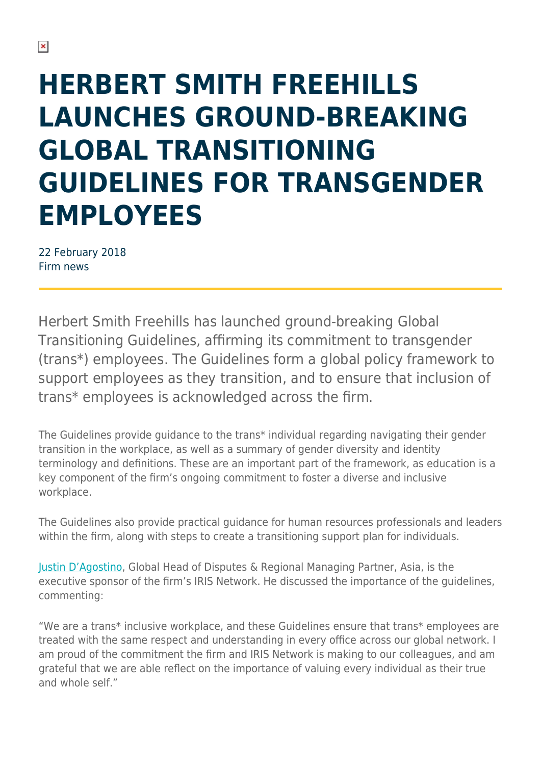## **HERBERT SMITH FREEHILLS LAUNCHES GROUND-BREAKING GLOBAL TRANSITIONING GUIDELINES FOR TRANSGENDER EMPLOYEES**

22 February 2018 Firm news

Herbert Smith Freehills has launched ground-breaking Global Transitioning Guidelines, affirming its commitment to transgender (trans\*) employees. The Guidelines form a global policy framework to support employees as they transition, and to ensure that inclusion of trans\* employees is acknowledged across the firm.

The Guidelines provide guidance to the trans\* individual regarding navigating their gender transition in the workplace, as well as a summary of gender diversity and identity terminology and definitions. These are an important part of the framework, as education is a key component of the firm's ongoing commitment to foster a diverse and inclusive workplace.

The Guidelines also provide practical guidance for human resources professionals and leaders within the firm, along with steps to create a transitioning support plan for individuals.

[Justin D'Agostino,](https://www.herbertsmithfreehills.com/our-people/justin-dagostino) Global Head of Disputes & Regional Managing Partner, Asia, is the executive sponsor of the firm's IRIS Network. He discussed the importance of the guidelines, commenting:

"We are a trans\* inclusive workplace, and these Guidelines ensure that trans\* employees are treated with the same respect and understanding in every office across our global network. I am proud of the commitment the firm and IRIS Network is making to our colleagues, and am grateful that we are able reflect on the importance of valuing every individual as their true and whole self."